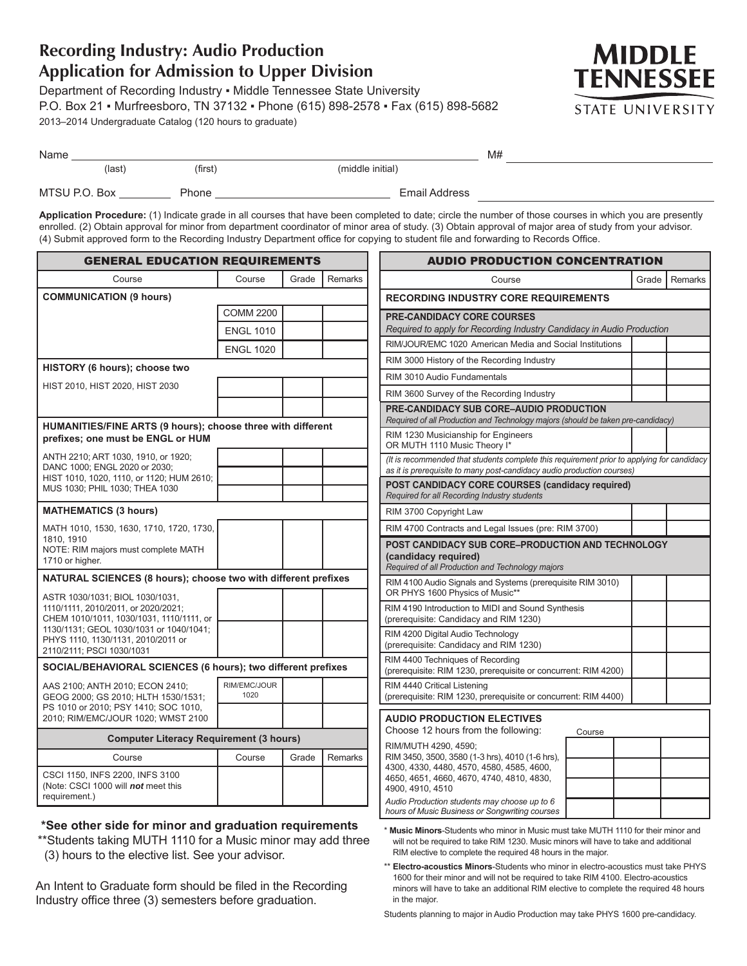## **Recording Industry: Audio Production Application for Admission to Upper Division**

\*\*Students taking MUTH 1110 for a Music minor may add three

An Intent to Graduate form should be filed in the Recording Industry office three (3) semesters before graduation.

(3) hours to the elective list. See your advisor.

Department of Recording Industry ▪ Middle Tennessee State University P.O. Box 21 ▪ Murfreesboro, TN 37132 ▪ Phone (615) 898-2578 ▪ Fax (615) 898-5682 2013–2014 Undergraduate Catalog (120 hours to graduate)



| Name |               |         |                  |  |  |
|------|---------------|---------|------------------|--|--|
|      | (last         | (first) | (middle initial) |  |  |
|      | MTSU P.O. Box | Phone   | Email Address    |  |  |

**Application Procedure:** (1) Indicate grade in all courses that have been completed to date; circle the number of those courses in which you are presently enrolled. (2) Obtain approval for minor from department coordinator of minor area of study. (3) Obtain approval of major area of study from your advisor. (4) Submit approved form to the Recording Industry Department office for copying to student file and forwarding to Records Office.

| <b>GENERAL EDUCATION REQUIREMENTS</b>                                                                      |                      |                                                                                               | <b>AUDIO PRODUCTION CONCENTRATION</b>                                                                                         |                                                                                                                                                                      |                  |
|------------------------------------------------------------------------------------------------------------|----------------------|-----------------------------------------------------------------------------------------------|-------------------------------------------------------------------------------------------------------------------------------|----------------------------------------------------------------------------------------------------------------------------------------------------------------------|------------------|
| Course                                                                                                     | Course               | Grade                                                                                         | Remarks                                                                                                                       | Course                                                                                                                                                               | Remarks<br>Grade |
| <b>COMMUNICATION (9 hours)</b>                                                                             |                      |                                                                                               | <b>RECORDING INDUSTRY CORE REQUIREMENTS</b>                                                                                   |                                                                                                                                                                      |                  |
|                                                                                                            | <b>COMM 2200</b>     |                                                                                               |                                                                                                                               | <b>PRE-CANDIDACY CORE COURSES</b>                                                                                                                                    |                  |
|                                                                                                            | <b>ENGL 1010</b>     |                                                                                               |                                                                                                                               | Required to apply for Recording Industry Candidacy in Audio Production                                                                                               |                  |
|                                                                                                            | <b>ENGL 1020</b>     |                                                                                               |                                                                                                                               | RIM/JOUR/EMC 1020 American Media and Social Institutions                                                                                                             |                  |
| HISTORY (6 hours); choose two                                                                              |                      | RIM 3000 History of the Recording Industry                                                    |                                                                                                                               |                                                                                                                                                                      |                  |
| HIST 2010, HIST 2020, HIST 2030                                                                            |                      |                                                                                               |                                                                                                                               | RIM 3010 Audio Fundamentals                                                                                                                                          |                  |
|                                                                                                            |                      |                                                                                               |                                                                                                                               | RIM 3600 Survey of the Recording Industry                                                                                                                            |                  |
|                                                                                                            |                      |                                                                                               |                                                                                                                               | <b>PRE-CANDIDACY SUB CORE-AUDIO PRODUCTION</b><br>Required of all Production and Technology majors (should be taken pre-candidacy)                                   |                  |
| HUMANITIES/FINE ARTS (9 hours); choose three with different<br>prefixes; one must be ENGL or HUM           |                      |                                                                                               | RIM 1230 Musicianship for Engineers<br>OR MUTH 1110 Music Theory I*                                                           |                                                                                                                                                                      |                  |
| ANTH 2210; ART 1030, 1910, or 1920;<br>DANC 1000; ENGL 2020 or 2030;                                       |                      |                                                                                               |                                                                                                                               | (It is recommended that students complete this requirement prior to applying for candidacy<br>as it is prerequisite to many post-candidacy audio production courses) |                  |
| HIST 1010, 1020, 1110, or 1120; HUM 2610;<br>MUS 1030; PHIL 1030; THEA 1030                                |                      |                                                                                               |                                                                                                                               | <b>POST CANDIDACY CORE COURSES (candidacy required)</b><br>Required for all Recording Industry students                                                              |                  |
| <b>MATHEMATICS (3 hours)</b>                                                                               |                      |                                                                                               |                                                                                                                               | RIM 3700 Copyright Law                                                                                                                                               |                  |
| MATH 1010, 1530, 1630, 1710, 1720, 1730,                                                                   |                      |                                                                                               |                                                                                                                               | RIM 4700 Contracts and Legal Issues (pre: RIM 3700)                                                                                                                  |                  |
| 1810, 1910<br>NOTE: RIM majors must complete MATH<br>1710 or higher.                                       |                      |                                                                                               | POST CANDIDACY SUB CORE-PRODUCTION AND TECHNOLOGY<br>(candidacy required)<br>Required of all Production and Technology majors |                                                                                                                                                                      |                  |
| NATURAL SCIENCES (8 hours); choose two with different prefixes<br>ASTR 1030/1031; BIOL 1030/1031,          |                      | RIM 4100 Audio Signals and Systems (prerequisite RIM 3010)<br>OR PHYS 1600 Physics of Music** |                                                                                                                               |                                                                                                                                                                      |                  |
| 1110/1111, 2010/2011, or 2020/2021;<br>CHEM 1010/1011, 1030/1031, 1110/1111, or                            |                      |                                                                                               |                                                                                                                               | RIM 4190 Introduction to MIDI and Sound Synthesis<br>(prerequisite: Candidacy and RIM 1230)                                                                          |                  |
| 1130/1131; GEOL 1030/1031 or 1040/1041;<br>PHYS 1110, 1130/1131, 2010/2011 or<br>2110/2111; PSCI 1030/1031 |                      |                                                                                               |                                                                                                                               | RIM 4200 Digital Audio Technology<br>(prerequisite: Candidacy and RIM 1230)                                                                                          |                  |
| SOCIAL/BEHAVIORAL SCIENCES (6 hours); two different prefixes                                               |                      |                                                                                               | RIM 4400 Techniques of Recording<br>(prerequisite: RIM 1230, prerequisite or concurrent: RIM 4200)                            |                                                                                                                                                                      |                  |
| AAS 2100; ANTH 2010; ECON 2410;<br>GEOG 2000; GS 2010; HLTH 1530/1531;                                     | RIM/EMC/JOUR<br>1020 |                                                                                               |                                                                                                                               | RIM 4440 Critical Listening<br>(prerequisite: RIM 1230, prerequisite or concurrent: RIM 4400)                                                                        |                  |
| PS 1010 or 2010; PSY 1410; SOC 1010,<br>2010; RIM/EMC/JOUR 1020; WMST 2100                                 |                      |                                                                                               |                                                                                                                               | <b>AUDIO PRODUCTION ELECTIVES</b>                                                                                                                                    |                  |
| <b>Computer Literacy Requirement (3 hours)</b>                                                             |                      |                                                                                               | Choose 12 hours from the following:<br>Course                                                                                 |                                                                                                                                                                      |                  |
| Course                                                                                                     | Course               | Grade                                                                                         | Remarks                                                                                                                       | RIM/MUTH 4290, 4590;<br>RIM 3450, 3500, 3580 (1-3 hrs), 4010 (1-6 hrs),<br>4300, 4330, 4480, 4570, 4580, 4585, 4600,                                                 |                  |
| CSCI 1150, INFS 2200, INFS 3100<br>(Note: CSCI 1000 will not meet this                                     |                      |                                                                                               |                                                                                                                               | 4650, 4651, 4660, 4670, 4740, 4810, 4830,<br>4900, 4910, 4510                                                                                                        |                  |
| requirement.)                                                                                              |                      |                                                                                               |                                                                                                                               | Audio Production students may choose up to 6                                                                                                                         |                  |
| *See other side for minor and graduation requirements                                                      |                      |                                                                                               |                                                                                                                               | hours of Music Business or Songwriting courses<br>* Music Minore Students who minor in Music must take MUTH 1110 for their minor and                                 |                  |

\* **Music Minors**-Students who minor in Music must take MUTH 1110 for their minor and will not be required to take RIM 1230. Music minors will have to take and additional RIM elective to complete the required 48 hours in the major.

\*\* **Electro-acoustics Minors**-Students who minor in electro-acoustics must take PHYS 1600 for their minor and will not be required to take RIM 4100. Electro-acoustics minors will have to take an additional RIM elective to complete the required 48 hours in the major.

Students planning to major in Audio Production may take PHYS 1600 pre-candidacy.